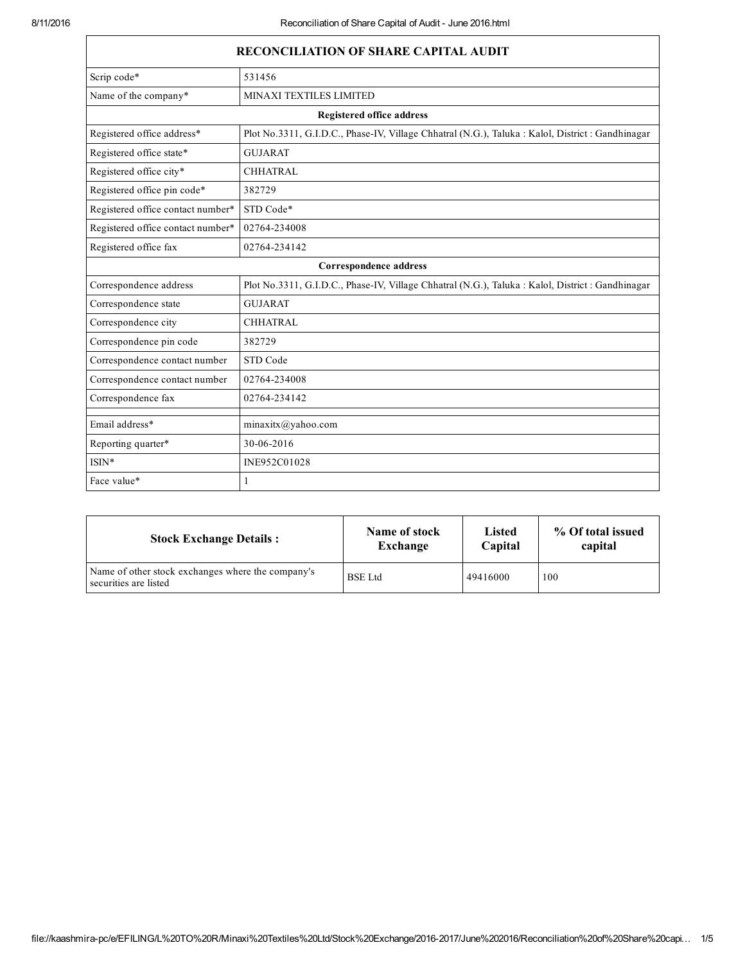| <b>RECONCILIATION OF SHARE CAPITAL AUDIT</b> |                                                                                                   |  |  |  |  |
|----------------------------------------------|---------------------------------------------------------------------------------------------------|--|--|--|--|
| Scrip code*                                  | 531456                                                                                            |  |  |  |  |
| Name of the company*                         | MINAXI TEXTILES LIMITED                                                                           |  |  |  |  |
|                                              | <b>Registered office address</b>                                                                  |  |  |  |  |
| Registered office address*                   | Plot No.3311, G.I.D.C., Phase-IV, Village Chhatral (N.G.), Taluka : Kalol, District : Gandhinagar |  |  |  |  |
| Registered office state*                     | <b>GUJARAT</b>                                                                                    |  |  |  |  |
| Registered office city*                      | <b>CHHATRAL</b>                                                                                   |  |  |  |  |
| Registered office pin code*                  | 382729                                                                                            |  |  |  |  |
| Registered office contact number*            | STD Code*                                                                                         |  |  |  |  |
| Registered office contact number*            | 02764-234008                                                                                      |  |  |  |  |
| Registered office fax                        | 02764-234142                                                                                      |  |  |  |  |
|                                              | Correspondence address                                                                            |  |  |  |  |
| Correspondence address                       | Plot No.3311, G.I.D.C., Phase-IV, Village Chhatral (N.G.), Taluka : Kalol, District : Gandhinagar |  |  |  |  |
| Correspondence state                         | <b>GUJARAT</b>                                                                                    |  |  |  |  |
| Correspondence city                          | <b>CHHATRAL</b>                                                                                   |  |  |  |  |
| Correspondence pin code                      | 382729                                                                                            |  |  |  |  |
| Correspondence contact number                | STD Code                                                                                          |  |  |  |  |
| Correspondence contact number                | 02764-234008                                                                                      |  |  |  |  |
| Correspondence fax                           | 02764-234142                                                                                      |  |  |  |  |
| Email address*                               | $minax$ itx $@yahoo.com$                                                                          |  |  |  |  |
| Reporting quarter*                           | 30-06-2016                                                                                        |  |  |  |  |
| $ISIN*$                                      | INE952C01028                                                                                      |  |  |  |  |
| Face value*                                  |                                                                                                   |  |  |  |  |

| <b>Stock Exchange Details:</b>                                             | Name of stock  | Listed   | % Of total issued |
|----------------------------------------------------------------------------|----------------|----------|-------------------|
|                                                                            | Exchange       | Capital  | capital           |
| Name of other stock exchanges where the company's<br>securities are listed | <b>BSE</b> Ltd | 49416000 | 100               |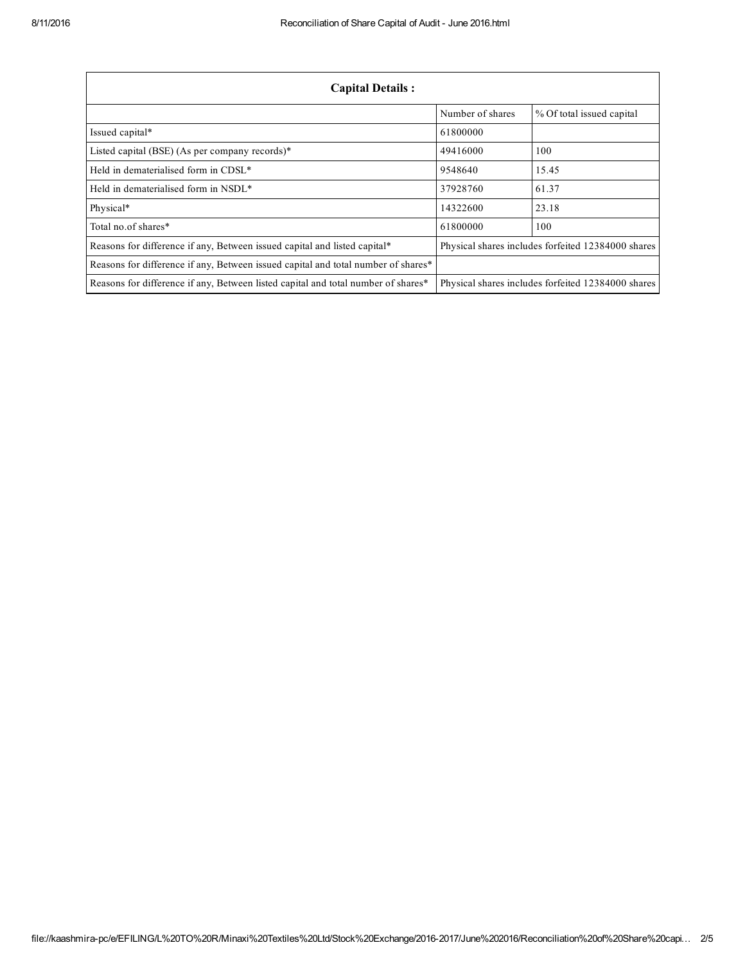| <b>Capital Details:</b>                                                                                                                 |                  |                                                    |
|-----------------------------------------------------------------------------------------------------------------------------------------|------------------|----------------------------------------------------|
|                                                                                                                                         | Number of shares | % Of total issued capital                          |
| Issued capital*                                                                                                                         | 61800000         |                                                    |
| Listed capital (BSE) (As per company records)*                                                                                          | 49416000         | 100                                                |
| Held in dematerialised form in CDSL <sup>*</sup>                                                                                        | 9548640          | 15.45                                              |
| Held in dematerialised form in NSDL*                                                                                                    | 37928760         | 61.37                                              |
| Physical*                                                                                                                               | 14322600         | 23.18                                              |
| Total no of shares*                                                                                                                     | 61800000         | 100                                                |
| Reasons for difference if any, Between issued capital and listed capital*                                                               |                  | Physical shares includes forfeited 12384000 shares |
| Reasons for difference if any, Between issued capital and total number of shares*                                                       |                  |                                                    |
| Reasons for difference if any, Between listed capital and total number of shares*<br>Physical shares includes forfeited 12384000 shares |                  |                                                    |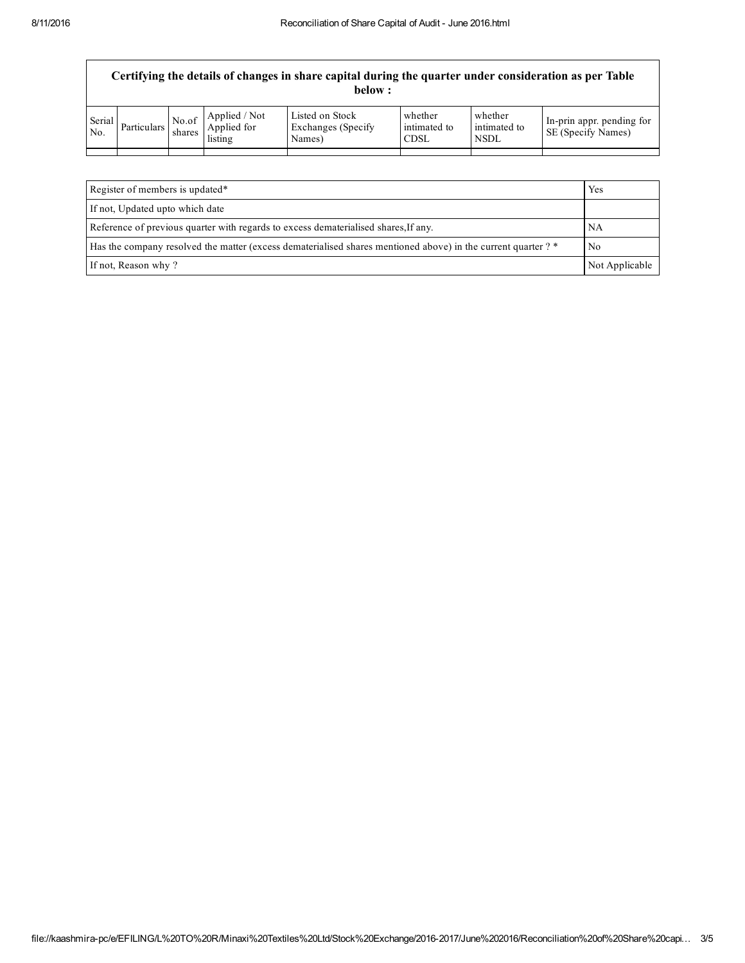|               | Certifying the details of changes in share capital during the quarter under consideration as per Table<br>below : |                 |                                         |                                                  |                                        |                                        |                                                        |
|---------------|-------------------------------------------------------------------------------------------------------------------|-----------------|-----------------------------------------|--------------------------------------------------|----------------------------------------|----------------------------------------|--------------------------------------------------------|
| Serial<br>No. | Particulars                                                                                                       | No.of<br>shares | Applied / Not<br>Applied for<br>listing | Listed on Stock<br>Exchanges (Specify)<br>Names) | whether<br>intimated to<br><b>CDSL</b> | whether<br>intimated to<br><b>NSDL</b> | In-prin appr. pending for<br><b>SE</b> (Specify Names) |
|               |                                                                                                                   |                 |                                         |                                                  |                                        |                                        |                                                        |
|               |                                                                                                                   |                 |                                         |                                                  |                                        |                                        |                                                        |

| Register of members is updated*                                                                                     |  |
|---------------------------------------------------------------------------------------------------------------------|--|
| If not, Updated upto which date                                                                                     |  |
| Reference of previous quarter with regards to excess dematerialised shares. If any.<br>NA                           |  |
| Has the company resolved the matter (excess dematerialised shares mentioned above) in the current quarter ? *<br>No |  |
| If not, Reason why?<br>Not Applicable                                                                               |  |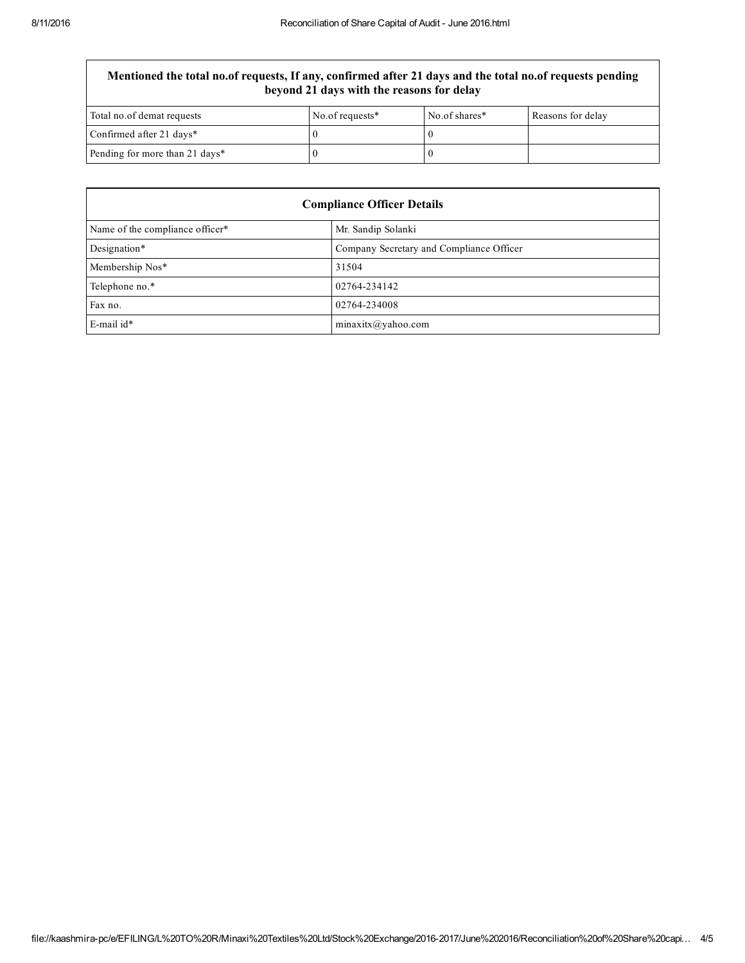## Mentioned the total no.of requests, If any, confirmed after 21 days and the total no.of requests pending beyond 21 days with the reasons for delay

| Total no.of demat requests     | No.of requests* | No.of shares* | Reasons for delay |
|--------------------------------|-----------------|---------------|-------------------|
| Confirmed after 21 days*       |                 |               |                   |
| Pending for more than 21 days* |                 |               |                   |

| <b>Compliance Officer Details</b> |                                          |  |
|-----------------------------------|------------------------------------------|--|
| Name of the compliance officer*   | Mr. Sandip Solanki                       |  |
| Designation*                      | Company Secretary and Compliance Officer |  |
| Membership Nos*                   | 31504                                    |  |
| Telephone no.*                    | 02764-234142                             |  |
| Fax no.                           | 02764-234008                             |  |
| $E$ -mail id*                     | minaxitx@yahoo.com                       |  |